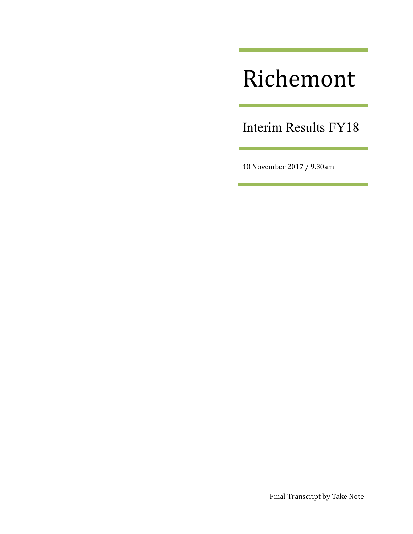# Richemont

Interim Results FY18

 $\sim$ 

10 November 2017 / 9.30am

<u> 1989 - Johann Barnett, mars et</u>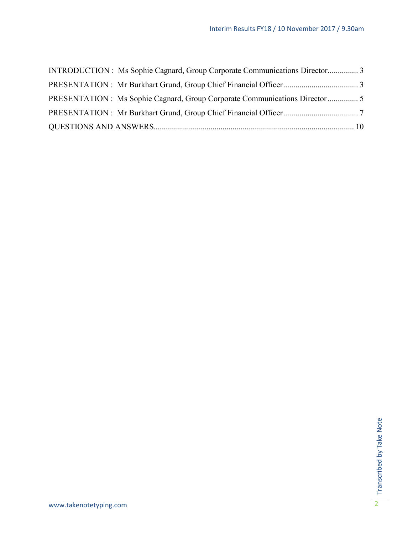| INTRODUCTION : Ms Sophie Cagnard, Group Corporate Communications Director 3 |  |
|-----------------------------------------------------------------------------|--|
|                                                                             |  |
|                                                                             |  |
|                                                                             |  |
|                                                                             |  |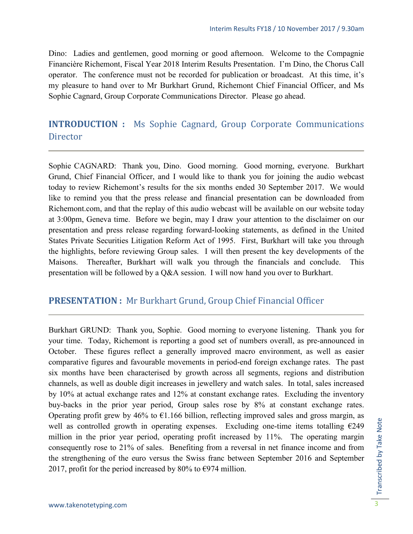Dino: Ladies and gentlemen, good morning or good afternoon. Welcome to the Compagnie Financière Richemont, Fiscal Year 2018 Interim Results Presentation. I'm Dino, the Chorus Call operator. The conference must not be recorded for publication or broadcast. At this time, it's my pleasure to hand over to Mr Burkhart Grund, Richemont Chief Financial Officer, and Ms Sophie Cagnard, Group Corporate Communications Director. Please go ahead.

# <span id="page-2-0"></span>**INTRODUCTION :** Ms Sophie Cagnard, Group Corporate Communications Director

Sophie CAGNARD: Thank you, Dino. Good morning. Good morning, everyone. Burkhart Grund, Chief Financial Officer, and I would like to thank you for joining the audio webcast today to review Richemont's results for the six months ended 30 September 2017. We would like to remind you that the press release and financial presentation can be downloaded from Richemont.com, and that the replay of this audio webcast will be available on our website today at 3:00pm, Geneva time. Before we begin, may I draw your attention to the disclaimer on our presentation and press release regarding forward-looking statements, as defined in the United States Private Securities Litigation Reform Act of 1995. First, Burkhart will take you through the highlights, before reviewing Group sales. I will then present the key developments of the Maisons. Thereafter, Burkhart will walk you through the financials and conclude. This presentation will be followed by a Q&A session. I will now hand you over to Burkhart.

## <span id="page-2-1"></span>**PRESENTATION :** Mr Burkhart Grund, Group Chief Financial Officer

Burkhart GRUND: Thank you, Sophie. Good morning to everyone listening. Thank you for your time. Today, Richemont is reporting a good set of numbers overall, as pre-announced in October. These figures reflect a generally improved macro environment, as well as easier comparative figures and favourable movements in period-end foreign exchange rates. The past six months have been characterised by growth across all segments, regions and distribution channels, as well as double digit increases in jewellery and watch sales. In total, sales increased by 10% at actual exchange rates and 12% at constant exchange rates. Excluding the inventory buy-backs in the prior year period, Group sales rose by 8% at constant exchange rates. Operating profit grew by 46% to  $\epsilon$ 1.166 billion, reflecting improved sales and gross margin, as well as controlled growth in operating expenses. Excluding one-time items totalling  $E249$ million in the prior year period, operating profit increased by 11%. The operating margin consequently rose to 21% of sales. Benefiting from a reversal in net finance income and from the strengthening of the euro versus the Swiss franc between September 2016 and September 2017, profit for the period increased by 80% to  $\epsilon$ 974 million.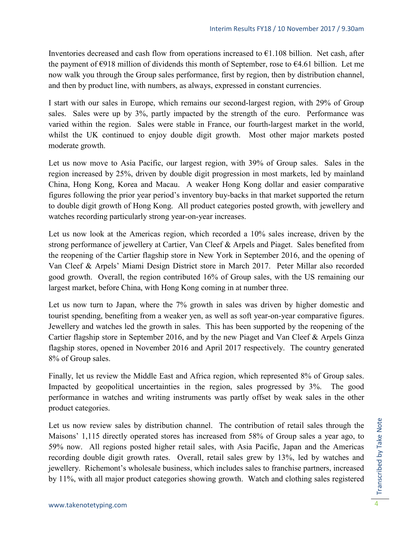Inventories decreased and cash flow from operations increased to  $\epsilon$ 1.108 billion. Net cash, after the payment of  $\epsilon$ 918 million of dividends this month of September, rose to  $\epsilon$ 4.61 billion. Let me now walk you through the Group sales performance, first by region, then by distribution channel, and then by product line, with numbers, as always, expressed in constant currencies.

I start with our sales in Europe, which remains our second-largest region, with 29% of Group sales. Sales were up by 3%, partly impacted by the strength of the euro. Performance was varied within the region. Sales were stable in France, our fourth-largest market in the world, whilst the UK continued to enjoy double digit growth. Most other major markets posted moderate growth.

Let us now move to Asia Pacific, our largest region, with 39% of Group sales. Sales in the region increased by 25%, driven by double digit progression in most markets, led by mainland China, Hong Kong, Korea and Macau. A weaker Hong Kong dollar and easier comparative figures following the prior year period's inventory buy-backs in that market supported the return to double digit growth of Hong Kong. All product categories posted growth, with jewellery and watches recording particularly strong year-on-year increases.

Let us now look at the Americas region, which recorded a 10% sales increase, driven by the strong performance of jewellery at Cartier, Van Cleef & Arpels and Piaget. Sales benefited from the reopening of the Cartier flagship store in New York in September 2016, and the opening of Van Cleef & Arpels' Miami Design District store in March 2017. Peter Millar also recorded good growth. Overall, the region contributed 16% of Group sales, with the US remaining our largest market, before China, with Hong Kong coming in at number three.

Let us now turn to Japan, where the 7% growth in sales was driven by higher domestic and tourist spending, benefiting from a weaker yen, as well as soft year-on-year comparative figures. Jewellery and watches led the growth in sales. This has been supported by the reopening of the Cartier flagship store in September 2016, and by the new Piaget and Van Cleef & Arpels Ginza flagship stores, opened in November 2016 and April 2017 respectively. The country generated 8% of Group sales.

Finally, let us review the Middle East and Africa region, which represented 8% of Group sales. Impacted by geopolitical uncertainties in the region, sales progressed by 3%. The good performance in watches and writing instruments was partly offset by weak sales in the other product categories.

Let us now review sales by distribution channel. The contribution of retail sales through the Maisons' 1,115 directly operated stores has increased from 58% of Group sales a year ago, to 59% now. All regions posted higher retail sales, with Asia Pacific, Japan and the Americas recording double digit growth rates. Overall, retail sales grew by 13%, led by watches and jewellery. Richemont's wholesale business, which includes sales to franchise partners, increased by 11%, with all major product categories showing growth. Watch and clothing sales registered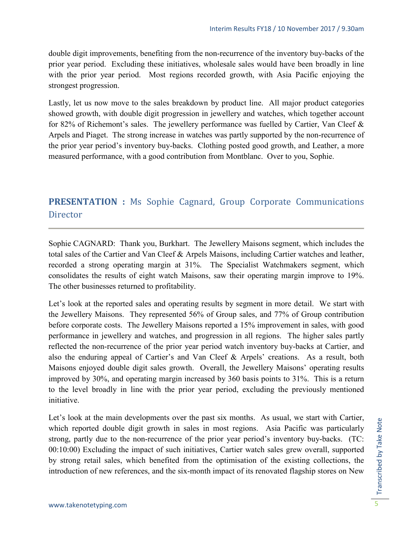double digit improvements, benefiting from the non-recurrence of the inventory buy-backs of the prior year period. Excluding these initiatives, wholesale sales would have been broadly in line with the prior year period. Most regions recorded growth, with Asia Pacific enjoying the strongest progression.

Lastly, let us now move to the sales breakdown by product line. All major product categories showed growth, with double digit progression in jewellery and watches, which together account for 82% of Richemont's sales. The jewellery performance was fuelled by Cartier, Van Cleef & Arpels and Piaget. The strong increase in watches was partly supported by the non-recurrence of the prior year period's inventory buy-backs. Clothing posted good growth, and Leather, a more measured performance, with a good contribution from Montblanc. Over to you, Sophie.

# <span id="page-4-0"></span>**PRESENTATION :** Ms Sophie Cagnard, Group Corporate Communications **Director**

Sophie CAGNARD: Thank you, Burkhart. The Jewellery Maisons segment, which includes the total sales of the Cartier and Van Cleef & Arpels Maisons, including Cartier watches and leather, recorded a strong operating margin at 31%. The Specialist Watchmakers segment, which consolidates the results of eight watch Maisons, saw their operating margin improve to 19%. The other businesses returned to profitability.

Let's look at the reported sales and operating results by segment in more detail. We start with the Jewellery Maisons. They represented 56% of Group sales, and 77% of Group contribution before corporate costs. The Jewellery Maisons reported a 15% improvement in sales, with good performance in jewellery and watches, and progression in all regions. The higher sales partly reflected the non-recurrence of the prior year period watch inventory buy-backs at Cartier, and also the enduring appeal of Cartier's and Van Cleef & Arpels' creations. As a result, both Maisons enjoyed double digit sales growth. Overall, the Jewellery Maisons' operating results improved by 30%, and operating margin increased by 360 basis points to 31%. This is a return to the level broadly in line with the prior year period, excluding the previously mentioned initiative.

Let's look at the main developments over the past six months. As usual, we start with Cartier, which reported double digit growth in sales in most regions. Asia Pacific was particularly strong, partly due to the non-recurrence of the prior year period's inventory buy-backs. (TC: 00:10:00) Excluding the impact of such initiatives, Cartier watch sales grew overall, supported by strong retail sales, which benefited from the optimisation of the existing collections, the introduction of new references, and the six-month impact of its renovated flagship stores on New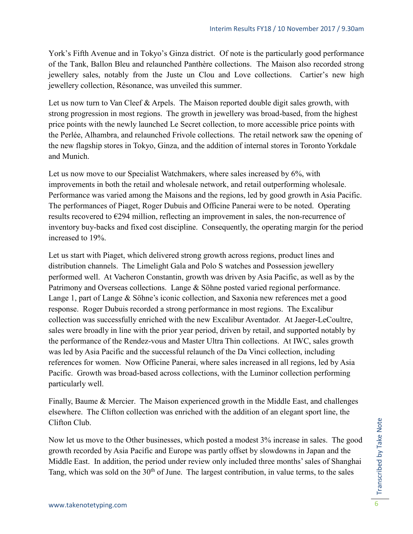York's Fifth Avenue and in Tokyo's Ginza district. Of note is the particularly good performance of the Tank, Ballon Bleu and relaunched Panthère collections. The Maison also recorded strong jewellery sales, notably from the Juste un Clou and Love collections. Cartier's new high jewellery collection, Résonance, was unveiled this summer.

Let us now turn to Van Cleef & Arpels. The Maison reported double digit sales growth, with strong progression in most regions. The growth in jewellery was broad-based, from the highest price points with the newly launched Le Secret collection, to more accessible price points with the Perlée, Alhambra, and relaunched Frivole collections. The retail network saw the opening of the new flagship stores in Tokyo, Ginza, and the addition of internal stores in Toronto Yorkdale and Munich.

Let us now move to our Specialist Watchmakers, where sales increased by 6%, with improvements in both the retail and wholesale network, and retail outperforming wholesale. Performance was varied among the Maisons and the regions, led by good growth in Asia Pacific. The performances of Piaget, Roger Dubuis and Officine Panerai were to be noted. Operating results recovered to  $E$ 294 million, reflecting an improvement in sales, the non-recurrence of inventory buy-backs and fixed cost discipline. Consequently, the operating margin for the period increased to 19%.

Let us start with Piaget, which delivered strong growth across regions, product lines and distribution channels. The Limelight Gala and Polo S watches and Possession jewellery performed well. At Vacheron Constantin, growth was driven by Asia Pacific, as well as by the Patrimony and Overseas collections. Lange & Söhne posted varied regional performance. Lange 1, part of Lange & Söhne's iconic collection, and Saxonia new references met a good response. Roger Dubuis recorded a strong performance in most regions. The Excalibur collection was successfully enriched with the new Excalibur Aventador. At Jaeger-LeCoultre, sales were broadly in line with the prior year period, driven by retail, and supported notably by the performance of the Rendez-vous and Master Ultra Thin collections. At IWC, sales growth was led by Asia Pacific and the successful relaunch of the Da Vinci collection, including references for women. Now Officine Panerai, where sales increased in all regions, led by Asia Pacific. Growth was broad-based across collections, with the Luminor collection performing particularly well.

Finally, Baume & Mercier. The Maison experienced growth in the Middle East, and challenges elsewhere. The Clifton collection was enriched with the addition of an elegant sport line, the Clifton Club.

Now let us move to the Other businesses, which posted a modest 3% increase in sales. The good growth recorded by Asia Pacific and Europe was partly offset by slowdowns in Japan and the Middle East. In addition, the period under review only included three months' sales of Shanghai Tang, which was sold on the  $30<sup>th</sup>$  of June. The largest contribution, in value terms, to the sales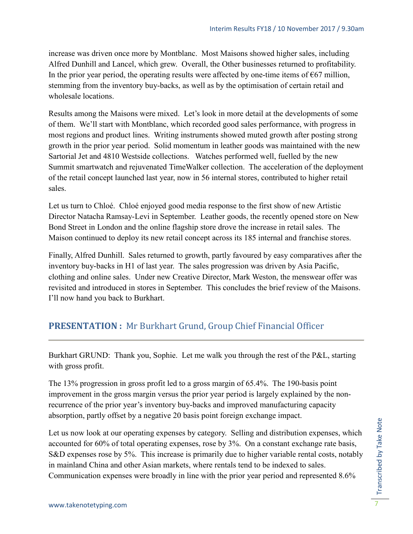increase was driven once more by Montblanc. Most Maisons showed higher sales, including Alfred Dunhill and Lancel, which grew. Overall, the Other businesses returned to profitability. In the prior year period, the operating results were affected by one-time items of  $667$  million, stemming from the inventory buy-backs, as well as by the optimisation of certain retail and wholesale locations.

Results among the Maisons were mixed. Let's look in more detail at the developments of some of them. We'll start with Montblanc, which recorded good sales performance, with progress in most regions and product lines. Writing instruments showed muted growth after posting strong growth in the prior year period. Solid momentum in leather goods was maintained with the new Sartorial Jet and 4810 Westside collections. Watches performed well, fuelled by the new Summit smartwatch and rejuvenated TimeWalker collection. The acceleration of the deployment of the retail concept launched last year, now in 56 internal stores, contributed to higher retail sales.

Let us turn to Chloé. Chloé enjoyed good media response to the first show of new Artistic Director Natacha Ramsay-Levi in September. Leather goods, the recently opened store on New Bond Street in London and the online flagship store drove the increase in retail sales. The Maison continued to deploy its new retail concept across its 185 internal and franchise stores.

Finally, Alfred Dunhill. Sales returned to growth, partly favoured by easy comparatives after the inventory buy-backs in H1 of last year. The sales progression was driven by Asia Pacific, clothing and online sales. Under new Creative Director, Mark Weston, the menswear offer was revisited and introduced in stores in September. This concludes the brief review of the Maisons. I'll now hand you back to Burkhart.

## <span id="page-6-0"></span>**PRESENTATION :** Mr Burkhart Grund, Group Chief Financial Officer

Burkhart GRUND: Thank you, Sophie. Let me walk you through the rest of the P&L, starting with gross profit.

The 13% progression in gross profit led to a gross margin of 65.4%. The 190-basis point improvement in the gross margin versus the prior year period is largely explained by the nonrecurrence of the prior year's inventory buy-backs and improved manufacturing capacity absorption, partly offset by a negative 20 basis point foreign exchange impact.

Let us now look at our operating expenses by category. Selling and distribution expenses, which accounted for 60% of total operating expenses, rose by 3%. On a constant exchange rate basis, S&D expenses rose by 5%. This increase is primarily due to higher variable rental costs, notably in mainland China and other Asian markets, where rentals tend to be indexed to sales. Communication expenses were broadly in line with the prior year period and represented 8.6%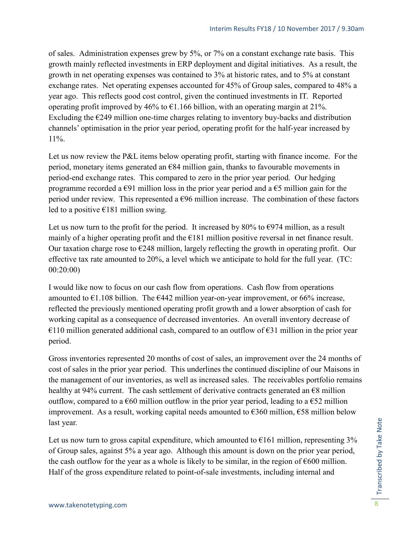of sales. Administration expenses grew by 5%, or 7% on a constant exchange rate basis. This growth mainly reflected investments in ERP deployment and digital initiatives. As a result, the growth in net operating expenses was contained to 3% at historic rates, and to 5% at constant exchange rates. Net operating expenses accounted for 45% of Group sales, compared to 48% a year ago. This reflects good cost control, given the continued investments in IT. Reported operating profit improved by 46% to  $\epsilon$ 1.166 billion, with an operating margin at 21%. Excluding the  $E$ 249 million one-time charges relating to inventory buy-backs and distribution channels' optimisation in the prior year period, operating profit for the half-year increased by 11%.

Let us now review the P&L items below operating profit, starting with finance income. For the period, monetary items generated an  $E$ 84 million gain, thanks to favourable movements in period-end exchange rates. This compared to zero in the prior year period. Our hedging programme recorded a  $\epsilon$ 91 million loss in the prior year period and a  $\epsilon$ 5 million gain for the period under review. This represented a  $E96$  million increase. The combination of these factors led to a positive  $E181$  million swing.

Let us now turn to the profit for the period. It increased by 80% to  $\epsilon$ 974 million, as a result mainly of a higher operating profit and the €181 million positive reversal in net finance result. Our taxation charge rose to  $E$ 248 million, largely reflecting the growth in operating profit. Our effective tax rate amounted to 20%, a level which we anticipate to hold for the full year. (TC: 00:20:00)

I would like now to focus on our cash flow from operations. Cash flow from operations amounted to  $\epsilon$ 1.108 billion. The  $\epsilon$ 442 million year-on-year improvement, or 66% increase, reflected the previously mentioned operating profit growth and a lower absorption of cash for working capital as a consequence of decreased inventories. An overall inventory decrease of  $€110$  million generated additional cash, compared to an outflow of  $€31$  million in the prior year period.

Gross inventories represented 20 months of cost of sales, an improvement over the 24 months of cost of sales in the prior year period. This underlines the continued discipline of our Maisons in the management of our inventories, as well as increased sales. The receivables portfolio remains healthy at 94% current. The cash settlement of derivative contracts generated an  $\epsilon$ 8 million outflow, compared to a  $\epsilon$ 60 million outflow in the prior year period, leading to a  $\epsilon$ 52 million improvement. As a result, working capital needs amounted to  $\epsilon$ 360 million,  $\epsilon$ 58 million below last year.

Let us now turn to gross capital expenditure, which amounted to  $E161$  million, representing 3% of Group sales, against 5% a year ago. Although this amount is down on the prior year period, the cash outflow for the year as a whole is likely to be similar, in the region of  $\epsilon$ 600 million. Half of the gross expenditure related to point-of-sale investments, including internal and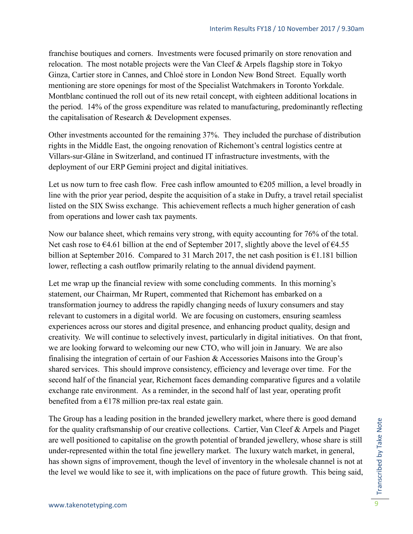franchise boutiques and corners. Investments were focused primarily on store renovation and relocation. The most notable projects were the Van Cleef & Arpels flagship store in Tokyo Ginza, Cartier store in Cannes, and Chloé store in London New Bond Street. Equally worth mentioning are store openings for most of the Specialist Watchmakers in Toronto Yorkdale. Montblanc continued the roll out of its new retail concept, with eighteen additional locations in the period. 14% of the gross expenditure was related to manufacturing, predominantly reflecting the capitalisation of Research & Development expenses.

Other investments accounted for the remaining 37%. They included the purchase of distribution rights in the Middle East, the ongoing renovation of Richemont's central logistics centre at Villars-sur-Glâne in Switzerland, and continued IT infrastructure investments, with the deployment of our ERP Gemini project and digital initiatives.

Let us now turn to free cash flow. Free cash inflow amounted to  $\epsilon$ 205 million, a level broadly in line with the prior year period, despite the acquisition of a stake in Dufry, a travel retail specialist listed on the SIX Swiss exchange. This achievement reflects a much higher generation of cash from operations and lower cash tax payments.

Now our balance sheet, which remains very strong, with equity accounting for 76% of the total. Net cash rose to  $64.61$  billion at the end of September 2017, slightly above the level of  $64.55$ billion at September 2016. Compared to 31 March 2017, the net cash position is  $\epsilon$ 1.181 billion lower, reflecting a cash outflow primarily relating to the annual dividend payment.

Let me wrap up the financial review with some concluding comments. In this morning's statement, our Chairman, Mr Rupert, commented that Richemont has embarked on a transformation journey to address the rapidly changing needs of luxury consumers and stay relevant to customers in a digital world. We are focusing on customers, ensuring seamless experiences across our stores and digital presence, and enhancing product quality, design and creativity. We will continue to selectively invest, particularly in digital initiatives. On that front, we are looking forward to welcoming our new CTO, who will join in January. We are also finalising the integration of certain of our Fashion & Accessories Maisons into the Group's shared services. This should improve consistency, efficiency and leverage over time. For the second half of the financial year, Richemont faces demanding comparative figures and a volatile exchange rate environment. As a reminder, in the second half of last year, operating profit benefited from a  $E178$  million pre-tax real estate gain.

The Group has a leading position in the branded jewellery market, where there is good demand for the quality craftsmanship of our creative collections. Cartier, Van Cleef & Arpels and Piaget are well positioned to capitalise on the growth potential of branded jewellery, whose share is still under-represented within the total fine jewellery market. The luxury watch market, in general, has shown signs of improvement, though the level of inventory in the wholesale channel is not at the level we would like to see it, with implications on the pace of future growth. This being said,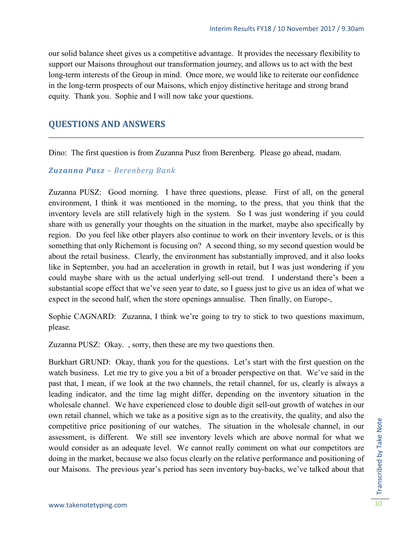our solid balance sheet gives us a competitive advantage. It provides the necessary flexibility to support our Maisons throughout our transformation journey, and allows us to act with the best long-term interests of the Group in mind. Once more, we would like to reiterate our confidence in the long-term prospects of our Maisons, which enjoy distinctive heritage and strong brand equity. Thank you. Sophie and I will now take your questions.

## <span id="page-9-0"></span>**QUESTIONS AND ANSWERS**

Dino: The first question is from Zuzanna Pusz from Berenberg. Please go ahead, madam.

#### *Zuzanna Pusz – Berenberg Bank*

Zuzanna PUSZ: Good morning. I have three questions, please. First of all, on the general environment, I think it was mentioned in the morning, to the press, that you think that the inventory levels are still relatively high in the system. So I was just wondering if you could share with us generally your thoughts on the situation in the market, maybe also specifically by region. Do you feel like other players also continue to work on their inventory levels, or is this something that only Richemont is focusing on? A second thing, so my second question would be about the retail business. Clearly, the environment has substantially improved, and it also looks like in September, you had an acceleration in growth in retail, but I was just wondering if you could maybe share with us the actual underlying sell-out trend. I understand there's been a substantial scope effect that we've seen year to date, so I guess just to give us an idea of what we expect in the second half, when the store openings annualise. Then finally, on Europe-,

Sophie CAGNARD: Zuzanna, I think we're going to try to stick to two questions maximum, please.

Zuzanna PUSZ: Okay. , sorry, then these are my two questions then.

Burkhart GRUND: Okay, thank you for the questions. Let's start with the first question on the watch business. Let me try to give you a bit of a broader perspective on that. We've said in the past that, I mean, if we look at the two channels, the retail channel, for us, clearly is always a leading indicator, and the time lag might differ, depending on the inventory situation in the wholesale channel. We have experienced close to double digit sell-out growth of watches in our own retail channel, which we take as a positive sign as to the creativity, the quality, and also the competitive price positioning of our watches. The situation in the wholesale channel, in our assessment, is different. We still see inventory levels which are above normal for what we would consider as an adequate level. We cannot really comment on what our competitors are doing in the market, because we also focus clearly on the relative performance and positioning of our Maisons. The previous year's period has seen inventory buy-backs, we've talked about that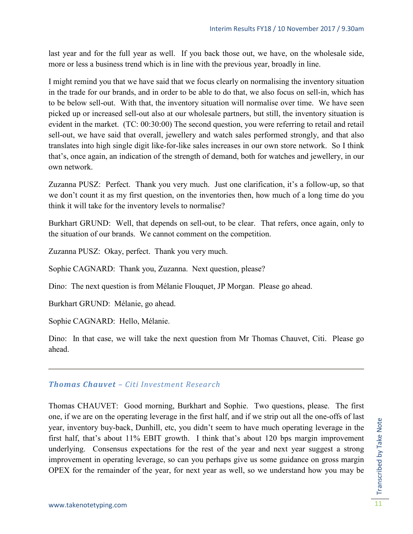last year and for the full year as well. If you back those out, we have, on the wholesale side, more or less a business trend which is in line with the previous year, broadly in line.

I might remind you that we have said that we focus clearly on normalising the inventory situation in the trade for our brands, and in order to be able to do that, we also focus on sell-in, which has to be below sell-out. With that, the inventory situation will normalise over time. We have seen picked up or increased sell-out also at our wholesale partners, but still, the inventory situation is evident in the market. (TC: 00:30:00) The second question, you were referring to retail and retail sell-out, we have said that overall, jewellery and watch sales performed strongly, and that also translates into high single digit like-for-like sales increases in our own store network. So I think that's, once again, an indication of the strength of demand, both for watches and jewellery, in our own network.

Zuzanna PUSZ: Perfect. Thank you very much. Just one clarification, it's a follow-up, so that we don't count it as my first question, on the inventories then, how much of a long time do you think it will take for the inventory levels to normalise?

Burkhart GRUND: Well, that depends on sell-out, to be clear. That refers, once again, only to the situation of our brands. We cannot comment on the competition.

Zuzanna PUSZ: Okay, perfect. Thank you very much.

Sophie CAGNARD: Thank you, Zuzanna. Next question, please?

Dino: The next question is from Mélanie Flouquet, JP Morgan. Please go ahead.

Burkhart GRUND: Mélanie, go ahead.

Sophie CAGNARD: Hello, Mélanie.

Dino: In that case, we will take the next question from Mr Thomas Chauvet, Citi. Please go ahead.

#### *Thomas Chauvet – Citi Investment Research*

Thomas CHAUVET: Good morning, Burkhart and Sophie. Two questions, please. The first one, if we are on the operating leverage in the first half, and if we strip out all the one-offs of last year, inventory buy-back, Dunhill, etc, you didn't seem to have much operating leverage in the first half, that's about 11% EBIT growth. I think that's about 120 bps margin improvement underlying. Consensus expectations for the rest of the year and next year suggest a strong improvement in operating leverage, so can you perhaps give us some guidance on gross margin OPEX for the remainder of the year, for next year as well, so we understand how you may be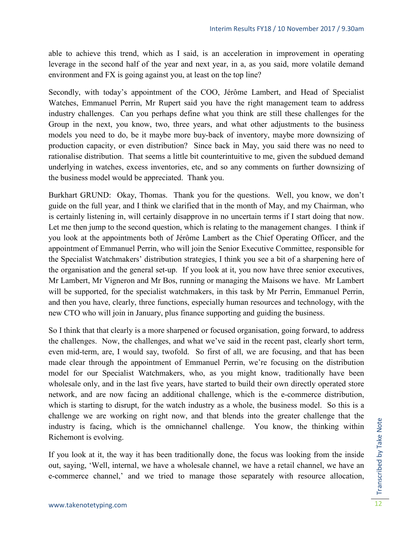able to achieve this trend, which as I said, is an acceleration in improvement in operating leverage in the second half of the year and next year, in a, as you said, more volatile demand environment and FX is going against you, at least on the top line?

Secondly, with today's appointment of the COO, Jérôme Lambert, and Head of Specialist Watches, Emmanuel Perrin, Mr Rupert said you have the right management team to address industry challenges. Can you perhaps define what you think are still these challenges for the Group in the next, you know, two, three years, and what other adjustments to the business models you need to do, be it maybe more buy-back of inventory, maybe more downsizing of production capacity, or even distribution? Since back in May, you said there was no need to rationalise distribution. That seems a little bit counterintuitive to me, given the subdued demand underlying in watches, excess inventories, etc, and so any comments on further downsizing of the business model would be appreciated. Thank you.

Burkhart GRUND: Okay, Thomas. Thank you for the questions. Well, you know, we don't guide on the full year, and I think we clarified that in the month of May, and my Chairman, who is certainly listening in, will certainly disapprove in no uncertain terms if I start doing that now. Let me then jump to the second question, which is relating to the management changes. I think if you look at the appointments both of Jérôme Lambert as the Chief Operating Officer, and the appointment of Emmanuel Perrin, who will join the Senior Executive Committee, responsible for the Specialist Watchmakers' distribution strategies, I think you see a bit of a sharpening here of the organisation and the general set-up. If you look at it, you now have three senior executives, Mr Lambert, Mr Vigneron and Mr Bos, running or managing the Maisons we have. Mr Lambert will be supported, for the specialist watchmakers, in this task by Mr Perrin, Emmanuel Perrin, and then you have, clearly, three functions, especially human resources and technology, with the new CTO who will join in January, plus finance supporting and guiding the business.

So I think that that clearly is a more sharpened or focused organisation, going forward, to address the challenges. Now, the challenges, and what we've said in the recent past, clearly short term, even mid-term, are, I would say, twofold. So first of all, we are focusing, and that has been made clear through the appointment of Emmanuel Perrin, we're focusing on the distribution model for our Specialist Watchmakers, who, as you might know, traditionally have been wholesale only, and in the last five years, have started to build their own directly operated store network, and are now facing an additional challenge, which is the e-commerce distribution, which is starting to disrupt, for the watch industry as a whole, the business model. So this is a challenge we are working on right now, and that blends into the greater challenge that the industry is facing, which is the omnichannel challenge. You know, the thinking within Richemont is evolving.

If you look at it, the way it has been traditionally done, the focus was looking from the inside out, saying, 'Well, internal, we have a wholesale channel, we have a retail channel, we have an e-commerce channel,' and we tried to manage those separately with resource allocation,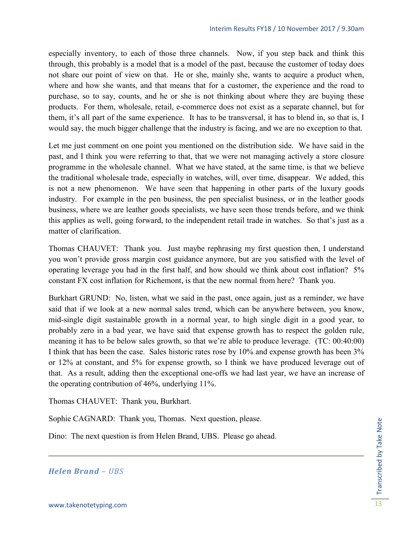especially inventory, to each of those three channels. Now, if you step back and think this through, this probably is a model that is a model of the past, because the customer of today does not share our point of view on that. He or she, mainly she, wants to acquire a product when, where and how she wants, and that means that for a customer, the experience and the road to purchase, so to say, counts, and he or she is not thinking about where they are buying these products. For them, wholesale, retail, e-commerce does not exist as a separate channel, but for them, it's all part of the same experience. It has to be transversal, it has to blend in, so that is, I would say, the much bigger challenge that the industry is facing, and we are no exception to that.

Let me just comment on one point you mentioned on the distribution side. We have said in the past, and I think you were referring to that, that we were not managing actively a store closure programme in the wholesale channel. What we have stated, at the same time, is that we believe the traditional wholesale trade, especially in watches, will, over time, disappear. We added, this is not a new phenomenon. We have seen that happening in other parts of the luxury goods industry. For example in the pen business, the pen specialist business, or in the leather goods business, where we are leather goods specialists, we have seen those trends before, and we think this applies as well, going forward, to the independent retail trade in watches. So that's just as a matter of clarification.

Thomas CHAUVET: Thank you. Just maybe rephrasing my first question then, I understand you won't provide gross margin cost guidance anymore, but are you satisfied with the level of operating leverage you had in the first half, and how should we think about cost inflation? 5% constant FX cost inflation for Richemont, is that the new normal from here? Thank you.

Burkhart GRUND: No, listen, what we said in the past, once again, just as a reminder, we have said that if we look at a new normal sales trend, which can be anywhere between, you know, mid-single digit sustainable growth in a normal year, to high single digit in a good year, to probably zero in a bad year, we have said that expense growth has to respect the golden rule, meaning it has to be below sales growth, so that we're able to produce leverage. (TC: 00:40:00) I think that has been the case. Sales historic rates rose by 10% and expense growth has been 3% or 12% at constant, and 5% for expense growth, so I think we have produced leverage out of that. As a result, adding then the exceptional one-offs we had last year, we have an increase of the operating contribution of 46%, underlying 11%.

Thomas CHAUVET: Thank you, Burkhart.

Sophie CAGNARD: Thank you, Thomas. Next question, please.

Dino: The next question is from Helen Brand, UBS. Please go ahead.

*Helen Brand – UBS*

Transcribed by Take Note Transcribed by Take Note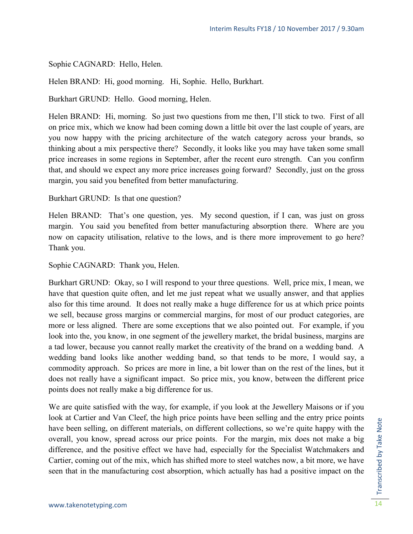Sophie CAGNARD: Hello, Helen.

Helen BRAND: Hi, good morning. Hi, Sophie. Hello, Burkhart.

Burkhart GRUND: Hello. Good morning, Helen.

Helen BRAND: Hi, morning. So just two questions from me then, I'll stick to two. First of all on price mix, which we know had been coming down a little bit over the last couple of years, are you now happy with the pricing architecture of the watch category across your brands, so thinking about a mix perspective there? Secondly, it looks like you may have taken some small price increases in some regions in September, after the recent euro strength. Can you confirm that, and should we expect any more price increases going forward? Secondly, just on the gross margin, you said you benefited from better manufacturing.

Burkhart GRUND: Is that one question?

Helen BRAND: That's one question, yes. My second question, if I can, was just on gross margin. You said you benefited from better manufacturing absorption there. Where are you now on capacity utilisation, relative to the lows, and is there more improvement to go here? Thank you.

Sophie CAGNARD: Thank you, Helen.

Burkhart GRUND: Okay, so I will respond to your three questions. Well, price mix, I mean, we have that question quite often, and let me just repeat what we usually answer, and that applies also for this time around. It does not really make a huge difference for us at which price points we sell, because gross margins or commercial margins, for most of our product categories, are more or less aligned. There are some exceptions that we also pointed out. For example, if you look into the, you know, in one segment of the jewellery market, the bridal business, margins are a tad lower, because you cannot really market the creativity of the brand on a wedding band. A wedding band looks like another wedding band, so that tends to be more, I would say, a commodity approach. So prices are more in line, a bit lower than on the rest of the lines, but it does not really have a significant impact. So price mix, you know, between the different price points does not really make a big difference for us.

We are quite satisfied with the way, for example, if you look at the Jewellery Maisons or if you look at Cartier and Van Cleef, the high price points have been selling and the entry price points have been selling, on different materials, on different collections, so we're quite happy with the overall, you know, spread across our price points. For the margin, mix does not make a big difference, and the positive effect we have had, especially for the Specialist Watchmakers and Cartier, coming out of the mix, which has shifted more to steel watches now, a bit more, we have seen that in the manufacturing cost absorption, which actually has had a positive impact on the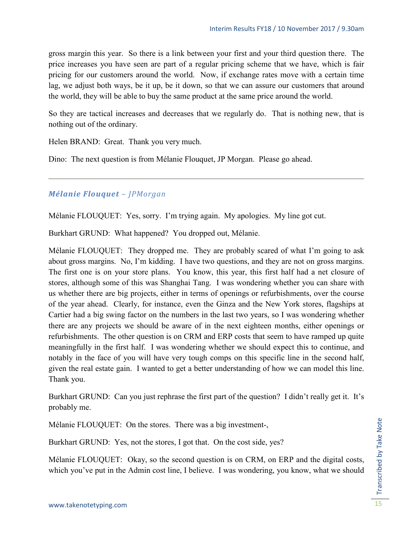gross margin this year. So there is a link between your first and your third question there. The price increases you have seen are part of a regular pricing scheme that we have, which is fair pricing for our customers around the world. Now, if exchange rates move with a certain time lag, we adjust both ways, be it up, be it down, so that we can assure our customers that around the world, they will be able to buy the same product at the same price around the world.

So they are tactical increases and decreases that we regularly do. That is nothing new, that is nothing out of the ordinary.

Helen BRAND: Great. Thank you very much.

Dino: The next question is from Mélanie Flouquet, JP Morgan. Please go ahead.

#### *Mélanie Flouquet – JPMorgan*

Mélanie FLOUQUET: Yes, sorry. I'm trying again. My apologies. My line got cut.

Burkhart GRUND: What happened? You dropped out, Mélanie.

Mélanie FLOUQUET: They dropped me. They are probably scared of what I'm going to ask about gross margins. No, I'm kidding. I have two questions, and they are not on gross margins. The first one is on your store plans. You know, this year, this first half had a net closure of stores, although some of this was Shanghai Tang. I was wondering whether you can share with us whether there are big projects, either in terms of openings or refurbishments, over the course of the year ahead. Clearly, for instance, even the Ginza and the New York stores, flagships at Cartier had a big swing factor on the numbers in the last two years, so I was wondering whether there are any projects we should be aware of in the next eighteen months, either openings or refurbishments. The other question is on CRM and ERP costs that seem to have ramped up quite meaningfully in the first half. I was wondering whether we should expect this to continue, and notably in the face of you will have very tough comps on this specific line in the second half, given the real estate gain. I wanted to get a better understanding of how we can model this line. Thank you.

Burkhart GRUND: Can you just rephrase the first part of the question? I didn't really get it. It's probably me.

Mélanie FLOUQUET: On the stores. There was a big investment-,

Burkhart GRUND: Yes, not the stores, I got that. On the cost side, yes?

Mélanie FLOUQUET: Okay, so the second question is on CRM, on ERP and the digital costs, which you've put in the Admin cost line, I believe. I was wondering, you know, what we should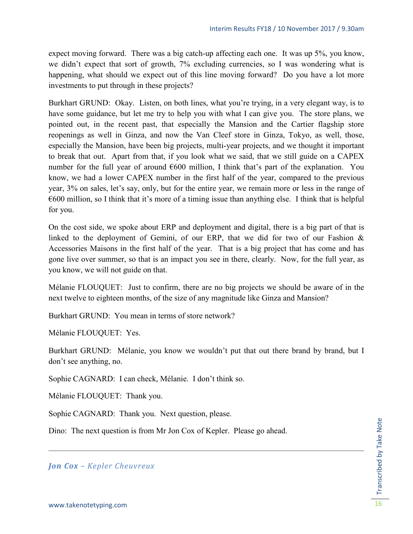expect moving forward. There was a big catch-up affecting each one. It was up 5%, you know, we didn't expect that sort of growth, 7% excluding currencies, so I was wondering what is happening, what should we expect out of this line moving forward? Do you have a lot more investments to put through in these projects?

Burkhart GRUND: Okay. Listen, on both lines, what you're trying, in a very elegant way, is to have some guidance, but let me try to help you with what I can give you. The store plans, we pointed out, in the recent past, that especially the Mansion and the Cartier flagship store reopenings as well in Ginza, and now the Van Cleef store in Ginza, Tokyo, as well, those, especially the Mansion, have been big projects, multi-year projects, and we thought it important to break that out. Apart from that, if you look what we said, that we still guide on a CAPEX number for the full year of around  $600$  million, I think that's part of the explanation. You know, we had a lower CAPEX number in the first half of the year, compared to the previous year, 3% on sales, let's say, only, but for the entire year, we remain more or less in the range of  $\epsilon$ 600 million, so I think that it's more of a timing issue than anything else. I think that is helpful for you.

On the cost side, we spoke about ERP and deployment and digital, there is a big part of that is linked to the deployment of Gemini, of our ERP, that we did for two of our Fashion & Accessories Maisons in the first half of the year. That is a big project that has come and has gone live over summer, so that is an impact you see in there, clearly. Now, for the full year, as you know, we will not guide on that.

Mélanie FLOUQUET: Just to confirm, there are no big projects we should be aware of in the next twelve to eighteen months, of the size of any magnitude like Ginza and Mansion?

Burkhart GRUND: You mean in terms of store network?

Mélanie FLOUQUET: Yes.

Burkhart GRUND: Mélanie, you know we wouldn't put that out there brand by brand, but I don't see anything, no.

Sophie CAGNARD: I can check, Mélanie. I don't think so.

Mélanie FLOUQUET: Thank you.

Sophie CAGNARD: Thank you. Next question, please.

Dino: The next question is from Mr Jon Cox of Kepler. Please go ahead.

*Jon Cox – Kepler Cheuvreux*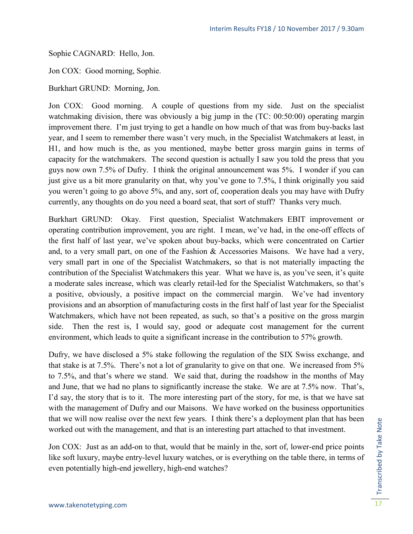Sophie CAGNARD: Hello, Jon.

Jon COX: Good morning, Sophie.

Burkhart GRUND: Morning, Jon.

Jon COX: Good morning. A couple of questions from my side. Just on the specialist watchmaking division, there was obviously a big jump in the (TC: 00:50:00) operating margin improvement there. I'm just trying to get a handle on how much of that was from buy-backs last year, and I seem to remember there wasn't very much, in the Specialist Watchmakers at least, in H1, and how much is the, as you mentioned, maybe better gross margin gains in terms of capacity for the watchmakers. The second question is actually I saw you told the press that you guys now own 7.5% of Dufry. I think the original announcement was 5%. I wonder if you can just give us a bit more granularity on that, why you've gone to 7.5%, I think originally you said you weren't going to go above 5%, and any, sort of, cooperation deals you may have with Dufry currently, any thoughts on do you need a board seat, that sort of stuff? Thanks very much.

Burkhart GRUND: Okay. First question, Specialist Watchmakers EBIT improvement or operating contribution improvement, you are right. I mean, we've had, in the one-off effects of the first half of last year, we've spoken about buy-backs, which were concentrated on Cartier and, to a very small part, on one of the Fashion & Accessories Maisons. We have had a very, very small part in one of the Specialist Watchmakers, so that is not materially impacting the contribution of the Specialist Watchmakers this year. What we have is, as you've seen, it's quite a moderate sales increase, which was clearly retail-led for the Specialist Watchmakers, so that's a positive, obviously, a positive impact on the commercial margin. We've had inventory provisions and an absorption of manufacturing costs in the first half of last year for the Specialist Watchmakers, which have not been repeated, as such, so that's a positive on the gross margin side. Then the rest is, I would say, good or adequate cost management for the current environment, which leads to quite a significant increase in the contribution to 57% growth.

Dufry, we have disclosed a 5% stake following the regulation of the SIX Swiss exchange, and that stake is at 7.5%. There's not a lot of granularity to give on that one. We increased from 5% to 7.5%, and that's where we stand. We said that, during the roadshow in the months of May and June, that we had no plans to significantly increase the stake. We are at 7.5% now. That's, I'd say, the story that is to it. The more interesting part of the story, for me, is that we have sat with the management of Dufry and our Maisons. We have worked on the business opportunities that we will now realise over the next few years. I think there's a deployment plan that has been worked out with the management, and that is an interesting part attached to that investment.

Jon COX: Just as an add-on to that, would that be mainly in the, sort of, lower-end price points like soft luxury, maybe entry-level luxury watches, or is everything on the table there, in terms of even potentially high-end jewellery, high-end watches?

Transcribed by Take Note Transcribed by Take Note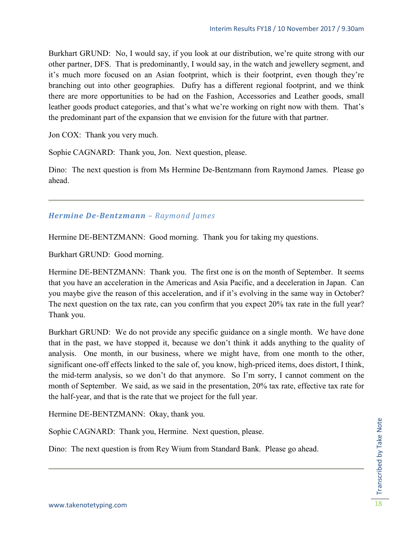Burkhart GRUND: No, I would say, if you look at our distribution, we're quite strong with our other partner, DFS. That is predominantly, I would say, in the watch and jewellery segment, and it's much more focused on an Asian footprint, which is their footprint, even though they're branching out into other geographies. Dufry has a different regional footprint, and we think there are more opportunities to be had on the Fashion, Accessories and Leather goods, small leather goods product categories, and that's what we're working on right now with them. That's the predominant part of the expansion that we envision for the future with that partner.

Jon COX: Thank you very much.

Sophie CAGNARD: Thank you, Jon. Next question, please.

Dino: The next question is from Ms Hermine De-Bentzmann from Raymond James. Please go ahead.

#### *Hermine De-Bentzmann – Raymond James*

Hermine DE-BENTZMANN: Good morning. Thank you for taking my questions.

Burkhart GRUND: Good morning.

Hermine DE-BENTZMANN: Thank you. The first one is on the month of September. It seems that you have an acceleration in the Americas and Asia Pacific, and a deceleration in Japan. Can you maybe give the reason of this acceleration, and if it's evolving in the same way in October? The next question on the tax rate, can you confirm that you expect 20% tax rate in the full year? Thank you.

Burkhart GRUND: We do not provide any specific guidance on a single month. We have done that in the past, we have stopped it, because we don't think it adds anything to the quality of analysis. One month, in our business, where we might have, from one month to the other, significant one-off effects linked to the sale of, you know, high-priced items, does distort, I think, the mid-term analysis, so we don't do that anymore. So I'm sorry, I cannot comment on the month of September. We said, as we said in the presentation, 20% tax rate, effective tax rate for the half-year, and that is the rate that we project for the full year.

Hermine DE-BENTZMANN: Okay, thank you.

Sophie CAGNARD: Thank you, Hermine. Next question, please.

Dino: The next question is from Rey Wium from Standard Bank. Please go ahead.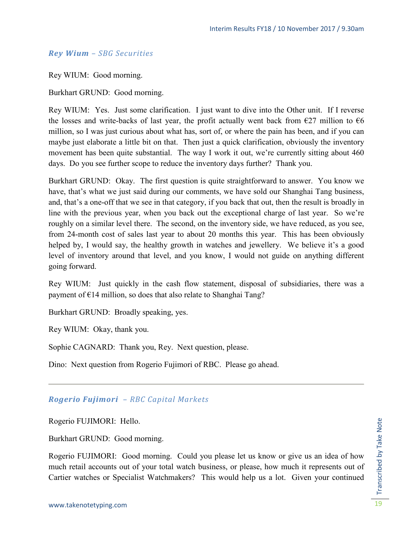#### *Rey Wium – SBG Securities*

Rey WIUM: Good morning.

Burkhart GRUND: Good morning.

Rey WIUM: Yes. Just some clarification. I just want to dive into the Other unit. If I reverse the losses and write-backs of last year, the profit actually went back from  $\epsilon$ 27 million to  $\epsilon$ 6 million, so I was just curious about what has, sort of, or where the pain has been, and if you can maybe just elaborate a little bit on that. Then just a quick clarification, obviously the inventory movement has been quite substantial. The way I work it out, we're currently sitting about 460 days. Do you see further scope to reduce the inventory days further? Thank you.

Burkhart GRUND: Okay. The first question is quite straightforward to answer. You know we have, that's what we just said during our comments, we have sold our Shanghai Tang business, and, that's a one-off that we see in that category, if you back that out, then the result is broadly in line with the previous year, when you back out the exceptional charge of last year. So we're roughly on a similar level there. The second, on the inventory side, we have reduced, as you see, from 24-month cost of sales last year to about 20 months this year. This has been obviously helped by, I would say, the healthy growth in watches and jewellery. We believe it's a good level of inventory around that level, and you know, I would not guide on anything different going forward.

Rey WIUM: Just quickly in the cash flow statement, disposal of subsidiaries, there was a payment of €14 million, so does that also relate to Shanghai Tang?

Burkhart GRUND: Broadly speaking, yes.

Rey WIUM: Okay, thank you.

Sophie CAGNARD: Thank you, Rey. Next question, please.

Dino: Next question from Rogerio Fujimori of RBC. Please go ahead.

#### *Rogerio Fujimori – RBC Capital Markets*

Rogerio FUJIMORI: Hello.

Burkhart GRUND: Good morning.

Rogerio FUJIMORI: Good morning. Could you please let us know or give us an idea of how much retail accounts out of your total watch business, or please, how much it represents out of Cartier watches or Specialist Watchmakers? This would help us a lot. Given your continued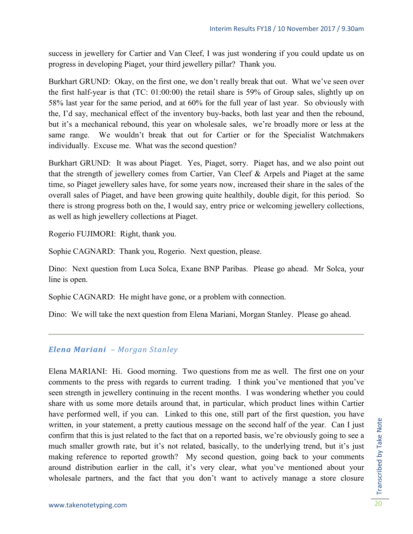success in jewellery for Cartier and Van Cleef, I was just wondering if you could update us on progress in developing Piaget, your third jewellery pillar? Thank you.

Burkhart GRUND: Okay, on the first one, we don't really break that out. What we've seen over the first half-year is that (TC: 01:00:00) the retail share is 59% of Group sales, slightly up on 58% last year for the same period, and at 60% for the full year of last year. So obviously with the, I'd say, mechanical effect of the inventory buy-backs, both last year and then the rebound, but it's a mechanical rebound, this year on wholesale sales, we're broadly more or less at the same range. We wouldn't break that out for Cartier or for the Specialist Watchmakers individually. Excuse me. What was the second question?

Burkhart GRUND: It was about Piaget. Yes, Piaget, sorry. Piaget has, and we also point out that the strength of jewellery comes from Cartier, Van Cleef & Arpels and Piaget at the same time, so Piaget jewellery sales have, for some years now, increased their share in the sales of the overall sales of Piaget, and have been growing quite healthily, double digit, for this period. So there is strong progress both on the, I would say, entry price or welcoming jewellery collections, as well as high jewellery collections at Piaget.

Rogerio FUJIMORI: Right, thank you.

Sophie CAGNARD: Thank you, Rogerio. Next question, please.

Dino: Next question from Luca Solca, Exane BNP Paribas. Please go ahead. Mr Solca, your line is open.

Sophie CAGNARD: He might have gone, or a problem with connection.

Dino: We will take the next question from Elena Mariani, Morgan Stanley. Please go ahead.

#### *Elena Mariani – Morgan Stanley*

Elena MARIANI: Hi. Good morning. Two questions from me as well. The first one on your comments to the press with regards to current trading. I think you've mentioned that you've seen strength in jewellery continuing in the recent months. I was wondering whether you could share with us some more details around that, in particular, which product lines within Cartier have performed well, if you can. Linked to this one, still part of the first question, you have written, in your statement, a pretty cautious message on the second half of the year. Can I just confirm that this is just related to the fact that on a reported basis, we're obviously going to see a much smaller growth rate, but it's not related, basically, to the underlying trend, but it's just making reference to reported growth? My second question, going back to your comments around distribution earlier in the call, it's very clear, what you've mentioned about your wholesale partners, and the fact that you don't want to actively manage a store closure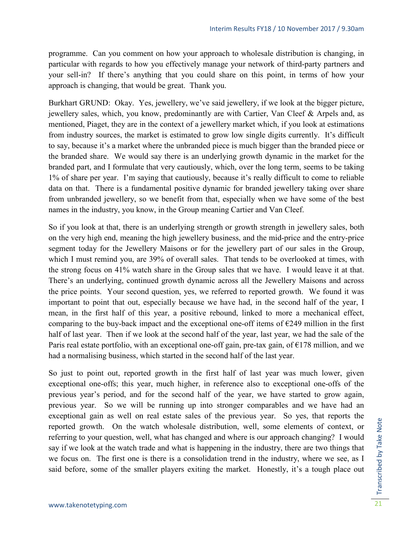programme. Can you comment on how your approach to wholesale distribution is changing, in particular with regards to how you effectively manage your network of third-party partners and your sell-in? If there's anything that you could share on this point, in terms of how your approach is changing, that would be great. Thank you.

Burkhart GRUND: Okay. Yes, jewellery, we've said jewellery, if we look at the bigger picture, jewellery sales, which, you know, predominantly are with Cartier, Van Cleef & Arpels and, as mentioned, Piaget, they are in the context of a jewellery market which, if you look at estimations from industry sources, the market is estimated to grow low single digits currently. It's difficult to say, because it's a market where the unbranded piece is much bigger than the branded piece or the branded share. We would say there is an underlying growth dynamic in the market for the branded part, and I formulate that very cautiously, which, over the long term, seems to be taking 1% of share per year. I'm saying that cautiously, because it's really difficult to come to reliable data on that. There is a fundamental positive dynamic for branded jewellery taking over share from unbranded jewellery, so we benefit from that, especially when we have some of the best names in the industry, you know, in the Group meaning Cartier and Van Cleef.

So if you look at that, there is an underlying strength or growth strength in jewellery sales, both on the very high end, meaning the high jewellery business, and the mid-price and the entry-price segment today for the Jewellery Maisons or for the jewellery part of our sales in the Group, which I must remind you, are 39% of overall sales. That tends to be overlooked at times, with the strong focus on 41% watch share in the Group sales that we have. I would leave it at that. There's an underlying, continued growth dynamic across all the Jewellery Maisons and across the price points. Your second question, yes, we referred to reported growth. We found it was important to point that out, especially because we have had, in the second half of the year, I mean, in the first half of this year, a positive rebound, linked to more a mechanical effect, comparing to the buy-back impact and the exceptional one-off items of  $E$ 249 million in the first half of last year. Then if we look at the second half of the year, last year, we had the sale of the Paris real estate portfolio, with an exceptional one-off gain, pre-tax gain, of  $E178$  million, and we had a normalising business, which started in the second half of the last year.

So just to point out, reported growth in the first half of last year was much lower, given exceptional one-offs; this year, much higher, in reference also to exceptional one-offs of the previous year's period, and for the second half of the year, we have started to grow again, previous year. So we will be running up into stronger comparables and we have had an exceptional gain as well on real estate sales of the previous year. So yes, that reports the reported growth. On the watch wholesale distribution, well, some elements of context, or referring to your question, well, what has changed and where is our approach changing? I would say if we look at the watch trade and what is happening in the industry, there are two things that we focus on. The first one is there is a consolidation trend in the industry, where we see, as I said before, some of the smaller players exiting the market. Honestly, it's a tough place out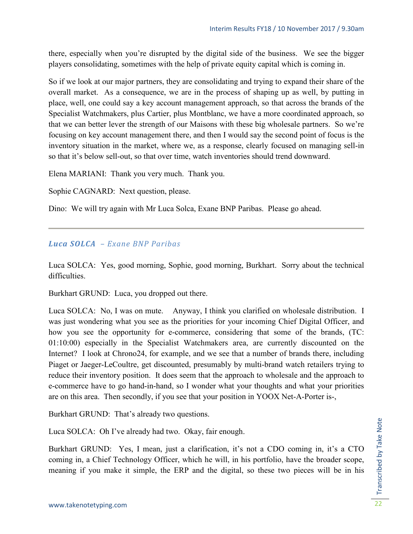there, especially when you're disrupted by the digital side of the business. We see the bigger players consolidating, sometimes with the help of private equity capital which is coming in.

So if we look at our major partners, they are consolidating and trying to expand their share of the overall market. As a consequence, we are in the process of shaping up as well, by putting in place, well, one could say a key account management approach, so that across the brands of the Specialist Watchmakers, plus Cartier, plus Montblanc, we have a more coordinated approach, so that we can better lever the strength of our Maisons with these big wholesale partners. So we're focusing on key account management there, and then I would say the second point of focus is the inventory situation in the market, where we, as a response, clearly focused on managing sell-in so that it's below sell-out, so that over time, watch inventories should trend downward.

Elena MARIANI: Thank you very much. Thank you.

Sophie CAGNARD: Next question, please.

Dino: We will try again with Mr Luca Solca, Exane BNP Paribas. Please go ahead.

#### *Luca SOLCA – Exane BNP Paribas*

Luca SOLCA: Yes, good morning, Sophie, good morning, Burkhart. Sorry about the technical difficulties.

Burkhart GRUND: Luca, you dropped out there.

Luca SOLCA: No, I was on mute. Anyway, I think you clarified on wholesale distribution. I was just wondering what you see as the priorities for your incoming Chief Digital Officer, and how you see the opportunity for e-commerce, considering that some of the brands, (TC: 01:10:00) especially in the Specialist Watchmakers area, are currently discounted on the Internet? I look at Chrono24, for example, and we see that a number of brands there, including Piaget or Jaeger-LeCoultre, get discounted, presumably by multi-brand watch retailers trying to reduce their inventory position. It does seem that the approach to wholesale and the approach to e-commerce have to go hand-in-hand, so I wonder what your thoughts and what your priorities are on this area. Then secondly, if you see that your position in YOOX Net-A-Porter is-,

Burkhart GRUND: That's already two questions.

Luca SOLCA: Oh I've already had two. Okay, fair enough.

Burkhart GRUND: Yes, I mean, just a clarification, it's not a CDO coming in, it's a CTO coming in, a Chief Technology Officer, which he will, in his portfolio, have the broader scope, meaning if you make it simple, the ERP and the digital, so these two pieces will be in his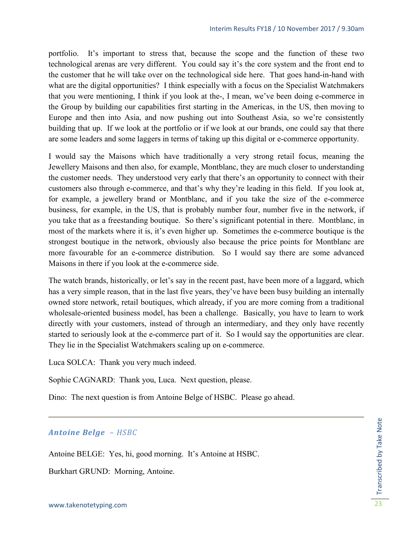portfolio. It's important to stress that, because the scope and the function of these two technological arenas are very different. You could say it's the core system and the front end to the customer that he will take over on the technological side here. That goes hand-in-hand with what are the digital opportunities? I think especially with a focus on the Specialist Watchmakers that you were mentioning, I think if you look at the-, I mean, we've been doing e-commerce in the Group by building our capabilities first starting in the Americas, in the US, then moving to Europe and then into Asia, and now pushing out into Southeast Asia, so we're consistently building that up. If we look at the portfolio or if we look at our brands, one could say that there are some leaders and some laggers in terms of taking up this digital or e-commerce opportunity.

I would say the Maisons which have traditionally a very strong retail focus, meaning the Jewellery Maisons and then also, for example, Montblanc, they are much closer to understanding the customer needs. They understood very early that there's an opportunity to connect with their customers also through e-commerce, and that's why they're leading in this field. If you look at, for example, a jewellery brand or Montblanc, and if you take the size of the e-commerce business, for example, in the US, that is probably number four, number five in the network, if you take that as a freestanding boutique. So there's significant potential in there. Montblanc, in most of the markets where it is, it's even higher up. Sometimes the e-commerce boutique is the strongest boutique in the network, obviously also because the price points for Montblanc are more favourable for an e-commerce distribution. So I would say there are some advanced Maisons in there if you look at the e-commerce side.

The watch brands, historically, or let's say in the recent past, have been more of a laggard, which has a very simple reason, that in the last five years, they've have been busy building an internally owned store network, retail boutiques, which already, if you are more coming from a traditional wholesale-oriented business model, has been a challenge. Basically, you have to learn to work directly with your customers, instead of through an intermediary, and they only have recently started to seriously look at the e-commerce part of it. So I would say the opportunities are clear. They lie in the Specialist Watchmakers scaling up on e-commerce.

Luca SOLCA: Thank you very much indeed.

Sophie CAGNARD: Thank you, Luca. Next question, please.

Dino: The next question is from Antoine Belge of HSBC. Please go ahead.

#### *Antoine Belge – HSBC*

Antoine BELGE: Yes, hi, good morning. It's Antoine at HSBC.

Burkhart GRUND: Morning, Antoine.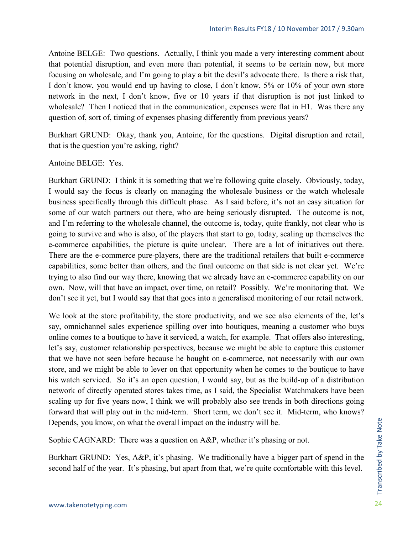Antoine BELGE: Two questions. Actually, I think you made a very interesting comment about that potential disruption, and even more than potential, it seems to be certain now, but more focusing on wholesale, and I'm going to play a bit the devil's advocate there. Is there a risk that, I don't know, you would end up having to close, I don't know, 5% or 10% of your own store network in the next, I don't know, five or 10 years if that disruption is not just linked to wholesale? Then I noticed that in the communication, expenses were flat in H1. Was there any question of, sort of, timing of expenses phasing differently from previous years?

Burkhart GRUND: Okay, thank you, Antoine, for the questions. Digital disruption and retail, that is the question you're asking, right?

Antoine BELGE: Yes.

Burkhart GRUND: I think it is something that we're following quite closely. Obviously, today, I would say the focus is clearly on managing the wholesale business or the watch wholesale business specifically through this difficult phase. As I said before, it's not an easy situation for some of our watch partners out there, who are being seriously disrupted. The outcome is not, and I'm referring to the wholesale channel, the outcome is, today, quite frankly, not clear who is going to survive and who is also, of the players that start to go, today, scaling up themselves the e-commerce capabilities, the picture is quite unclear. There are a lot of initiatives out there. There are the e-commerce pure-players, there are the traditional retailers that built e-commerce capabilities, some better than others, and the final outcome on that side is not clear yet. We're trying to also find our way there, knowing that we already have an e-commerce capability on our own. Now, will that have an impact, over time, on retail? Possibly. We're monitoring that. We don't see it yet, but I would say that that goes into a generalised monitoring of our retail network.

We look at the store profitability, the store productivity, and we see also elements of the, let's say, omnichannel sales experience spilling over into boutiques, meaning a customer who buys online comes to a boutique to have it serviced, a watch, for example. That offers also interesting, let's say, customer relationship perspectives, because we might be able to capture this customer that we have not seen before because he bought on e-commerce, not necessarily with our own store, and we might be able to lever on that opportunity when he comes to the boutique to have his watch serviced. So it's an open question, I would say, but as the build-up of a distribution network of directly operated stores takes time, as I said, the Specialist Watchmakers have been scaling up for five years now, I think we will probably also see trends in both directions going forward that will play out in the mid-term. Short term, we don't see it. Mid-term, who knows? Depends, you know, on what the overall impact on the industry will be.

Sophie CAGNARD: There was a question on A&P, whether it's phasing or not.

Burkhart GRUND: Yes, A&P, it's phasing. We traditionally have a bigger part of spend in the second half of the year. It's phasing, but apart from that, we're quite comfortable with this level.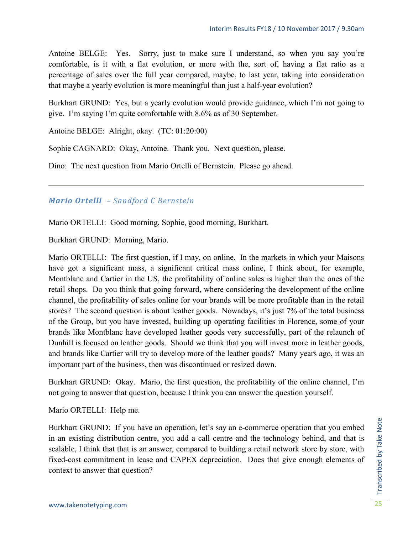Antoine BELGE: Yes. Sorry, just to make sure I understand, so when you say you're comfortable, is it with a flat evolution, or more with the, sort of, having a flat ratio as a percentage of sales over the full year compared, maybe, to last year, taking into consideration that maybe a yearly evolution is more meaningful than just a half-year evolution?

Burkhart GRUND: Yes, but a yearly evolution would provide guidance, which I'm not going to give. I'm saying I'm quite comfortable with 8.6% as of 30 September.

Antoine BELGE: Alright, okay. (TC: 01:20:00)

Sophie CAGNARD: Okay, Antoine. Thank you. Next question, please.

Dino: The next question from Mario Ortelli of Bernstein. Please go ahead.

#### *Mario Ortelli – Sandford C Bernstein*

Mario ORTELLI: Good morning, Sophie, good morning, Burkhart.

Burkhart GRUND: Morning, Mario.

Mario ORTELLI: The first question, if I may, on online. In the markets in which your Maisons have got a significant mass, a significant critical mass online, I think about, for example, Montblanc and Cartier in the US, the profitability of online sales is higher than the ones of the retail shops. Do you think that going forward, where considering the development of the online channel, the profitability of sales online for your brands will be more profitable than in the retail stores? The second question is about leather goods. Nowadays, it's just 7% of the total business of the Group, but you have invested, building up operating facilities in Florence, some of your brands like Montblanc have developed leather goods very successfully, part of the relaunch of Dunhill is focused on leather goods. Should we think that you will invest more in leather goods, and brands like Cartier will try to develop more of the leather goods? Many years ago, it was an important part of the business, then was discontinued or resized down.

Burkhart GRUND: Okay. Mario, the first question, the profitability of the online channel, I'm not going to answer that question, because I think you can answer the question yourself.

Mario ORTELLI: Help me.

Burkhart GRUND: If you have an operation, let's say an e-commerce operation that you embed in an existing distribution centre, you add a call centre and the technology behind, and that is scalable, I think that that is an answer, compared to building a retail network store by store, with fixed-cost commitment in lease and CAPEX depreciation. Does that give enough elements of context to answer that question?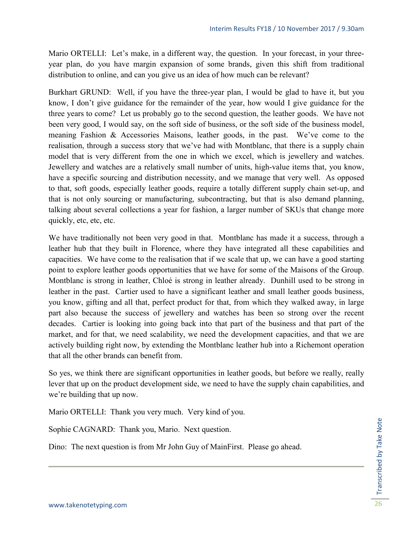Mario ORTELLI: Let's make, in a different way, the question. In your forecast, in your threeyear plan, do you have margin expansion of some brands, given this shift from traditional distribution to online, and can you give us an idea of how much can be relevant?

Burkhart GRUND: Well, if you have the three-year plan, I would be glad to have it, but you know, I don't give guidance for the remainder of the year, how would I give guidance for the three years to come? Let us probably go to the second question, the leather goods. We have not been very good, I would say, on the soft side of business, or the soft side of the business model, meaning Fashion & Accessories Maisons, leather goods, in the past. We've come to the realisation, through a success story that we've had with Montblanc, that there is a supply chain model that is very different from the one in which we excel, which is jewellery and watches. Jewellery and watches are a relatively small number of units, high-value items that, you know, have a specific sourcing and distribution necessity, and we manage that very well. As opposed to that, soft goods, especially leather goods, require a totally different supply chain set-up, and that is not only sourcing or manufacturing, subcontracting, but that is also demand planning, talking about several collections a year for fashion, a larger number of SKUs that change more quickly, etc, etc, etc.

We have traditionally not been very good in that. Montblanc has made it a success, through a leather hub that they built in Florence, where they have integrated all these capabilities and capacities. We have come to the realisation that if we scale that up, we can have a good starting point to explore leather goods opportunities that we have for some of the Maisons of the Group. Montblanc is strong in leather, Chloé is strong in leather already. Dunhill used to be strong in leather in the past. Cartier used to have a significant leather and small leather goods business, you know, gifting and all that, perfect product for that, from which they walked away, in large part also because the success of jewellery and watches has been so strong over the recent decades. Cartier is looking into going back into that part of the business and that part of the market, and for that, we need scalability, we need the development capacities, and that we are actively building right now, by extending the Montblanc leather hub into a Richemont operation that all the other brands can benefit from.

So yes, we think there are significant opportunities in leather goods, but before we really, really lever that up on the product development side, we need to have the supply chain capabilities, and we're building that up now.

Mario ORTELLI: Thank you very much. Very kind of you.

Sophie CAGNARD: Thank you, Mario. Next question.

Dino: The next question is from Mr John Guy of MainFirst. Please go ahead.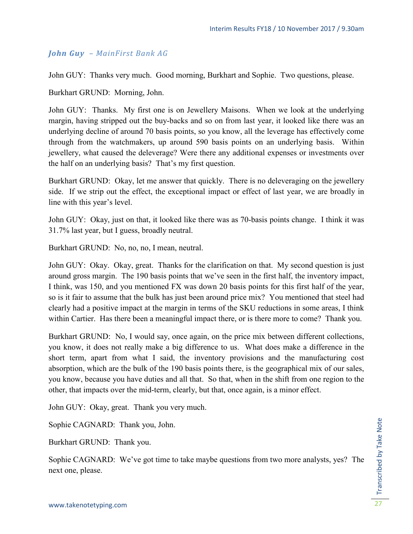#### *John Guy – MainFirst Bank AG*

John GUY: Thanks very much. Good morning, Burkhart and Sophie. Two questions, please.

Burkhart GRUND: Morning, John.

John GUY: Thanks. My first one is on Jewellery Maisons. When we look at the underlying margin, having stripped out the buy-backs and so on from last year, it looked like there was an underlying decline of around 70 basis points, so you know, all the leverage has effectively come through from the watchmakers, up around 590 basis points on an underlying basis. Within jewellery, what caused the deleverage? Were there any additional expenses or investments over the half on an underlying basis? That's my first question.

Burkhart GRUND: Okay, let me answer that quickly. There is no deleveraging on the jewellery side. If we strip out the effect, the exceptional impact or effect of last year, we are broadly in line with this year's level.

John GUY: Okay, just on that, it looked like there was as 70-basis points change. I think it was 31.7% last year, but I guess, broadly neutral.

Burkhart GRUND: No, no, no, I mean, neutral.

John GUY: Okay. Okay, great. Thanks for the clarification on that. My second question is just around gross margin. The 190 basis points that we've seen in the first half, the inventory impact, I think, was 150, and you mentioned FX was down 20 basis points for this first half of the year, so is it fair to assume that the bulk has just been around price mix? You mentioned that steel had clearly had a positive impact at the margin in terms of the SKU reductions in some areas, I think within Cartier. Has there been a meaningful impact there, or is there more to come? Thank you.

Burkhart GRUND: No, I would say, once again, on the price mix between different collections, you know, it does not really make a big difference to us. What does make a difference in the short term, apart from what I said, the inventory provisions and the manufacturing cost absorption, which are the bulk of the 190 basis points there, is the geographical mix of our sales, you know, because you have duties and all that. So that, when in the shift from one region to the other, that impacts over the mid-term, clearly, but that, once again, is a minor effect.

John GUY: Okay, great. Thank you very much.

Sophie CAGNARD: Thank you, John.

Burkhart GRUND: Thank you.

Sophie CAGNARD: We've got time to take maybe questions from two more analysts, yes? The next one, please.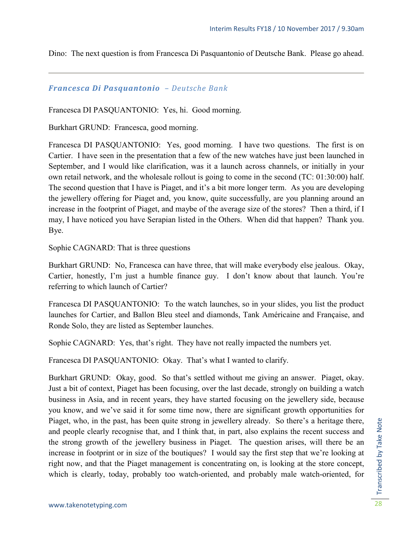Dino: The next question is from Francesca Di Pasquantonio of Deutsche Bank. Please go ahead.

#### *Francesca Di Pasquantonio – Deutsche Bank*

Francesca DI PASQUANTONIO: Yes, hi. Good morning.

Burkhart GRUND: Francesca, good morning.

Francesca DI PASQUANTONIO: Yes, good morning. I have two questions. The first is on Cartier. I have seen in the presentation that a few of the new watches have just been launched in September, and I would like clarification, was it a launch across channels, or initially in your own retail network, and the wholesale rollout is going to come in the second (TC: 01:30:00) half. The second question that I have is Piaget, and it's a bit more longer term. As you are developing the jewellery offering for Piaget and, you know, quite successfully, are you planning around an increase in the footprint of Piaget, and maybe of the average size of the stores? Then a third, if I may, I have noticed you have Serapian listed in the Others. When did that happen? Thank you. Bye.

Sophie CAGNARD: That is three questions

Burkhart GRUND: No, Francesca can have three, that will make everybody else jealous. Okay, Cartier, honestly, I'm just a humble finance guy. I don't know about that launch. You're referring to which launch of Cartier?

Francesca DI PASQUANTONIO: To the watch launches, so in your slides, you list the product launches for Cartier, and Ballon Bleu steel and diamonds, Tank Américaine and Française, and Ronde Solo, they are listed as September launches.

Sophie CAGNARD: Yes, that's right. They have not really impacted the numbers yet.

Francesca DI PASQUANTONIO: Okay. That's what I wanted to clarify.

Burkhart GRUND: Okay, good. So that's settled without me giving an answer. Piaget, okay. Just a bit of context, Piaget has been focusing, over the last decade, strongly on building a watch business in Asia, and in recent years, they have started focusing on the jewellery side, because you know, and we've said it for some time now, there are significant growth opportunities for Piaget, who, in the past, has been quite strong in jewellery already. So there's a heritage there, and people clearly recognise that, and I think that, in part, also explains the recent success and the strong growth of the jewellery business in Piaget. The question arises, will there be an increase in footprint or in size of the boutiques? I would say the first step that we're looking at right now, and that the Piaget management is concentrating on, is looking at the store concept, which is clearly, today, probably too watch-oriented, and probably male watch-oriented, for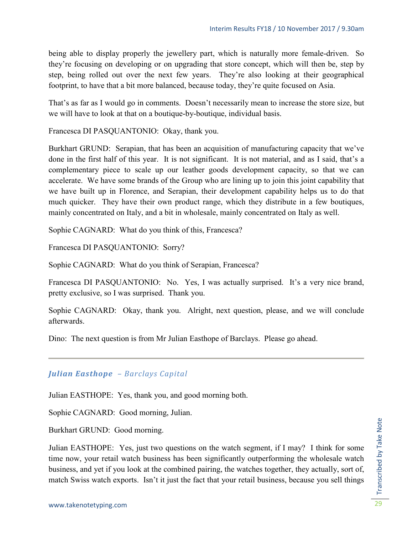being able to display properly the jewellery part, which is naturally more female-driven. So they're focusing on developing or on upgrading that store concept, which will then be, step by step, being rolled out over the next few years. They're also looking at their geographical footprint, to have that a bit more balanced, because today, they're quite focused on Asia.

That's as far as I would go in comments. Doesn't necessarily mean to increase the store size, but we will have to look at that on a boutique-by-boutique, individual basis.

Francesca DI PASQUANTONIO: Okay, thank you.

Burkhart GRUND: Serapian, that has been an acquisition of manufacturing capacity that we've done in the first half of this year. It is not significant. It is not material, and as I said, that's a complementary piece to scale up our leather goods development capacity, so that we can accelerate. We have some brands of the Group who are lining up to join this joint capability that we have built up in Florence, and Serapian, their development capability helps us to do that much quicker. They have their own product range, which they distribute in a few boutiques, mainly concentrated on Italy, and a bit in wholesale, mainly concentrated on Italy as well.

Sophie CAGNARD: What do you think of this, Francesca?

Francesca DI PASQUANTONIO: Sorry?

Sophie CAGNARD: What do you think of Serapian, Francesca?

Francesca DI PASQUANTONIO: No. Yes, I was actually surprised. It's a very nice brand, pretty exclusive, so I was surprised. Thank you.

Sophie CAGNARD: Okay, thank you. Alright, next question, please, and we will conclude afterwards.

Dino: The next question is from Mr Julian Easthope of Barclays. Please go ahead.

#### *Julian Easthope – Barclays Capital*

Julian EASTHOPE: Yes, thank you, and good morning both.

Sophie CAGNARD: Good morning, Julian.

Burkhart GRUND: Good morning.

Julian EASTHOPE: Yes, just two questions on the watch segment, if I may? I think for some time now, your retail watch business has been significantly outperforming the wholesale watch business, and yet if you look at the combined pairing, the watches together, they actually, sort of, match Swiss watch exports. Isn't it just the fact that your retail business, because you sell things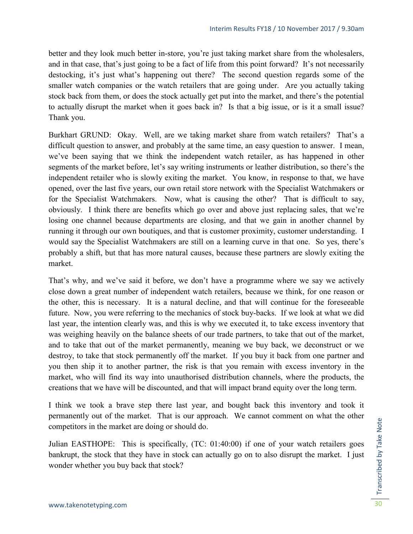better and they look much better in-store, you're just taking market share from the wholesalers, and in that case, that's just going to be a fact of life from this point forward? It's not necessarily destocking, it's just what's happening out there? The second question regards some of the smaller watch companies or the watch retailers that are going under. Are you actually taking stock back from them, or does the stock actually get put into the market, and there's the potential to actually disrupt the market when it goes back in? Is that a big issue, or is it a small issue? Thank you.

Burkhart GRUND: Okay. Well, are we taking market share from watch retailers? That's a difficult question to answer, and probably at the same time, an easy question to answer. I mean, we've been saying that we think the independent watch retailer, as has happened in other segments of the market before, let's say writing instruments or leather distribution, so there's the independent retailer who is slowly exiting the market. You know, in response to that, we have opened, over the last five years, our own retail store network with the Specialist Watchmakers or for the Specialist Watchmakers. Now, what is causing the other? That is difficult to say, obviously. I think there are benefits which go over and above just replacing sales, that we're losing one channel because departments are closing, and that we gain in another channel by running it through our own boutiques, and that is customer proximity, customer understanding. I would say the Specialist Watchmakers are still on a learning curve in that one. So yes, there's probably a shift, but that has more natural causes, because these partners are slowly exiting the market.

That's why, and we've said it before, we don't have a programme where we say we actively close down a great number of independent watch retailers, because we think, for one reason or the other, this is necessary. It is a natural decline, and that will continue for the foreseeable future. Now, you were referring to the mechanics of stock buy-backs. If we look at what we did last year, the intention clearly was, and this is why we executed it, to take excess inventory that was weighing heavily on the balance sheets of our trade partners, to take that out of the market, and to take that out of the market permanently, meaning we buy back, we deconstruct or we destroy, to take that stock permanently off the market. If you buy it back from one partner and you then ship it to another partner, the risk is that you remain with excess inventory in the market, who will find its way into unauthorised distribution channels, where the products, the creations that we have will be discounted, and that will impact brand equity over the long term.

I think we took a brave step there last year, and bought back this inventory and took it permanently out of the market. That is our approach. We cannot comment on what the other competitors in the market are doing or should do.

Julian EASTHOPE: This is specifically, (TC: 01:40:00) if one of your watch retailers goes bankrupt, the stock that they have in stock can actually go on to also disrupt the market. I just wonder whether you buy back that stock?